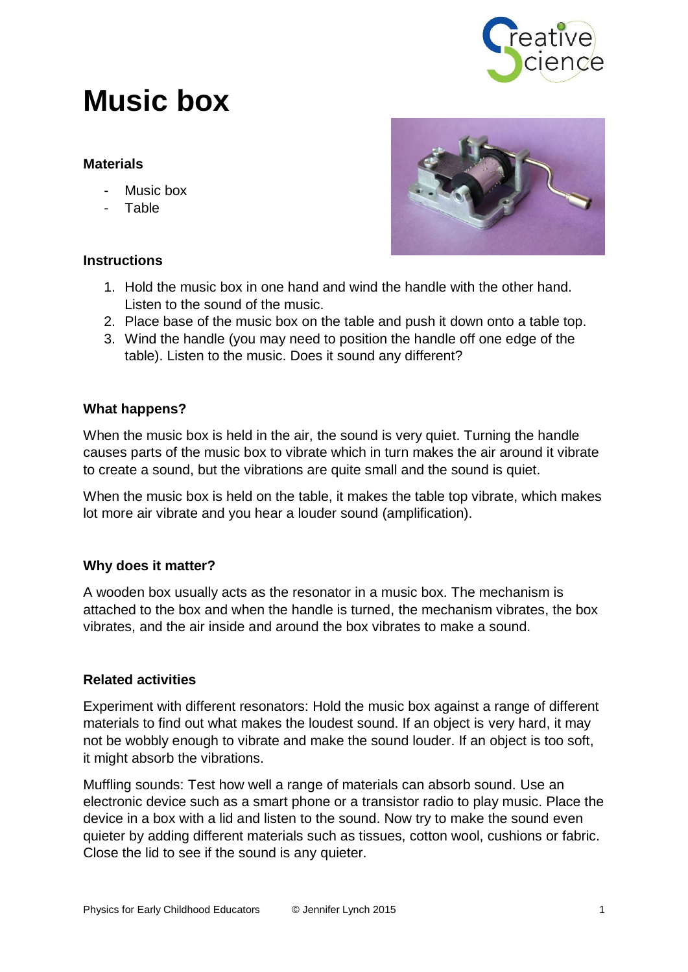

# **Music box**

## **Materials**

- Music box
- Table

#### **Instructions**



- 1. Hold the music box in one hand and wind the handle with the other hand. Listen to the sound of the music.
- 2. Place base of the music box on the table and push it down onto a table top.
- 3. Wind the handle (you may need to position the handle off one edge of the table). Listen to the music. Does it sound any different?

#### **What happens?**

When the music box is held in the air, the sound is very quiet. Turning the handle causes parts of the music box to vibrate which in turn makes the air around it vibrate to create a sound, but the vibrations are quite small and the sound is quiet.

When the music box is held on the table, it makes the table top vibrate, which makes lot more air vibrate and you hear a louder sound (amplification).

## **Why does it matter?**

A wooden box usually acts as the resonator in a music box. The mechanism is attached to the box and when the handle is turned, the mechanism vibrates, the box vibrates, and the air inside and around the box vibrates to make a sound.

## **Related activities**

Experiment with different resonators: Hold the music box against a range of different materials to find out what makes the loudest sound. If an object is very hard, it may not be wobbly enough to vibrate and make the sound louder. If an object is too soft, it might absorb the vibrations.

Muffling sounds: Test how well a range of materials can absorb sound. Use an electronic device such as a smart phone or a transistor radio to play music. Place the device in a box with a lid and listen to the sound. Now try to make the sound even quieter by adding different materials such as tissues, cotton wool, cushions or fabric. Close the lid to see if the sound is any quieter.